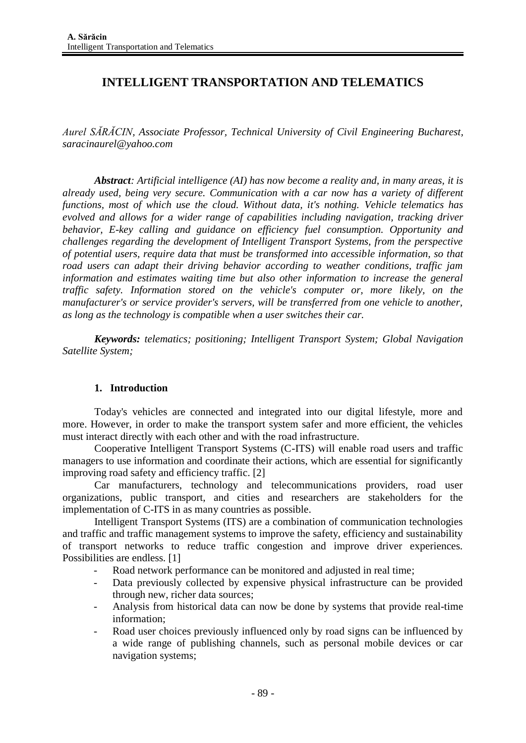# **INTELLIGENT TRANSPORTATION AND TELEMATICS**

*Aurel SĂRĂCIN, Associate Professor, Technical University of Civil Engineering Bucharest, saracinaurel@yahoo.com*

*Abstract: Artificial intelligence (AI) has now become a reality and, in many areas, it is already used, being very secure. Communication with a car now has a variety of different functions, most of which use the cloud. Without data, it's nothing. Vehicle telematics has evolved and allows for a wider range of capabilities including navigation, tracking driver behavior, E-key calling and guidance on efficiency fuel consumption. Opportunity and challenges regarding the development of Intelligent Transport Systems, from the perspective of potential users, require data that must be transformed into accessible information, so that road users can adapt their driving behavior according to weather conditions, traffic jam information and estimates waiting time but also other information to increase the general traffic safety. Information stored on the vehicle's computer or, more likely, on the manufacturer's or service provider's servers, will be transferred from one vehicle to another, as long as the technology is compatible when a user switches their car.*

*Keywords: telematics; positioning; Intelligent Transport System; Global Navigation Satellite System;*

## **1. Introduction**

Today's vehicles are connected and integrated into our digital lifestyle, more and more. However, in order to make the transport system safer and more efficient, the vehicles must interact directly with each other and with the road infrastructure.

Cooperative Intelligent Transport Systems (C-ITS) will enable road users and traffic managers to use information and coordinate their actions, which are essential for significantly improving road safety and efficiency traffic. [2]

Car manufacturers, technology and telecommunications providers, road user organizations, public transport, and cities and researchers are stakeholders for the implementation of C-ITS in as many countries as possible.

Intelligent Transport Systems (ITS) are a combination of communication technologies and traffic and traffic management systems to improve the safety, efficiency and sustainability of transport networks to reduce traffic congestion and improve driver experiences. Possibilities are endless. [1]

- Road network performance can be monitored and adjusted in real time;
- Data previously collected by expensive physical infrastructure can be provided through new, richer data sources;
- Analysis from historical data can now be done by systems that provide real-time information;
- Road user choices previously influenced only by road signs can be influenced by a wide range of publishing channels, such as personal mobile devices or car navigation systems;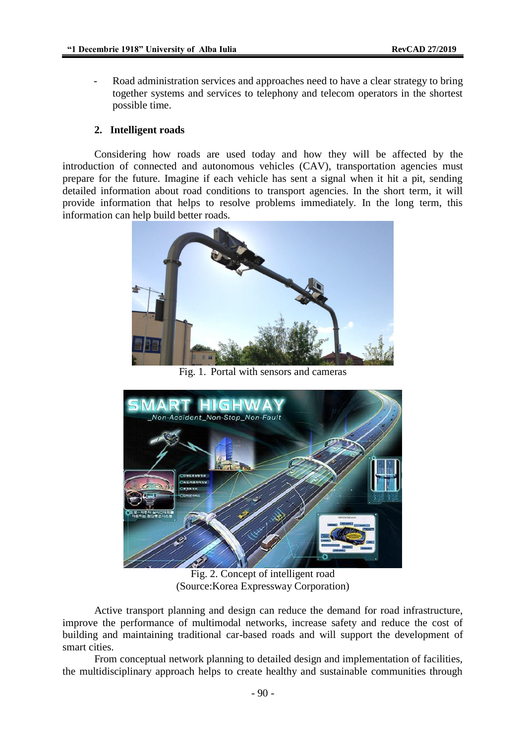Road administration services and approaches need to have a clear strategy to bring together systems and services to telephony and telecom operators in the shortest possible time.

#### **2. Intelligent roads**

Considering how roads are used today and how they will be affected by the introduction of connected and autonomous vehicles (CAV), transportation agencies must prepare for the future. Imagine if each vehicle has sent a signal when it hit a pit, sending detailed information about road conditions to transport agencies. In the short term, it will provide information that helps to resolve problems immediately. In the long term, this information can help build better roads.



Fig. 1. Portal with sensors and cameras



Fig. 2. Concept of intelligent road (Source:Korea Expressway Corporation)

Active transport planning and design can reduce the demand for road infrastructure, improve the performance of multimodal networks, increase safety and reduce the cost of building and maintaining traditional car-based roads and will support the development of smart cities.

From conceptual network planning to detailed design and implementation of facilities, the multidisciplinary approach helps to create healthy and sustainable communities through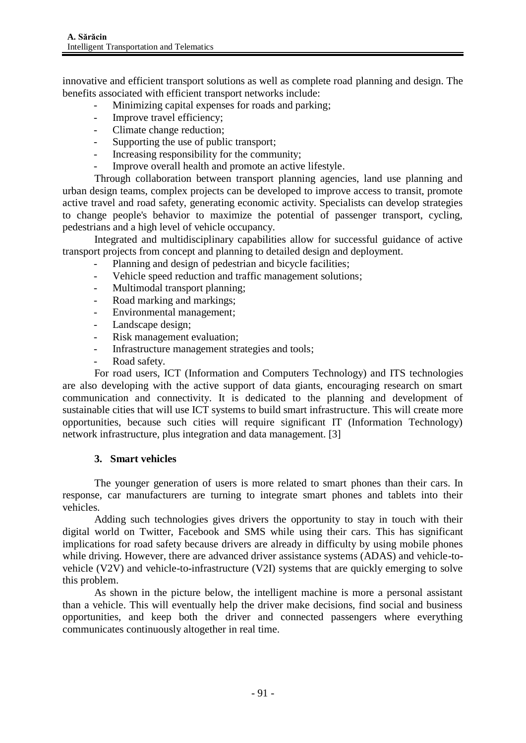innovative and efficient transport solutions as well as complete road planning and design. The benefits associated with efficient transport networks include:

- Minimizing capital expenses for roads and parking;
- Improve travel efficiency;
- Climate change reduction;
- Supporting the use of public transport;
- Increasing responsibility for the community;
- Improve overall health and promote an active lifestyle.

Through collaboration between transport planning agencies, land use planning and urban design teams, complex projects can be developed to improve access to transit, promote active travel and road safety, generating economic activity. Specialists can develop strategies to change people's behavior to maximize the potential of passenger transport, cycling, pedestrians and a high level of vehicle occupancy.

Integrated and multidisciplinary capabilities allow for successful guidance of active transport projects from concept and planning to detailed design and deployment.

- Planning and design of pedestrian and bicycle facilities;
- Vehicle speed reduction and traffic management solutions:
- Multimodal transport planning;
- Road marking and markings;
- Environmental management;
- Landscape design;
- Risk management evaluation;
- Infrastructure management strategies and tools;
- Road safety.

For road users, ICT (Information and Computers Technology) and ITS technologies are also developing with the active support of data giants, encouraging research on smart communication and connectivity. It is dedicated to the planning and development of sustainable cities that will use ICT systems to build smart infrastructure. This will create more opportunities, because such cities will require significant IT (Information Technology) network infrastructure, plus integration and data management. [3]

### **3. Smart vehicles**

The younger generation of users is more related to smart phones than their cars. In response, car manufacturers are turning to integrate smart phones and tablets into their vehicles.

Adding such technologies gives drivers the opportunity to stay in touch with their digital world on Twitter, Facebook and SMS while using their cars. This has significant implications for road safety because drivers are already in difficulty by using mobile phones while driving. However, there are advanced driver assistance systems (ADAS) and vehicle-tovehicle (V2V) and vehicle-to-infrastructure (V2I) systems that are quickly emerging to solve this problem.

As shown in the picture below, the intelligent machine is more a personal assistant than a vehicle. This will eventually help the driver make decisions, find social and business opportunities, and keep both the driver and connected passengers where everything communicates continuously altogether in real time.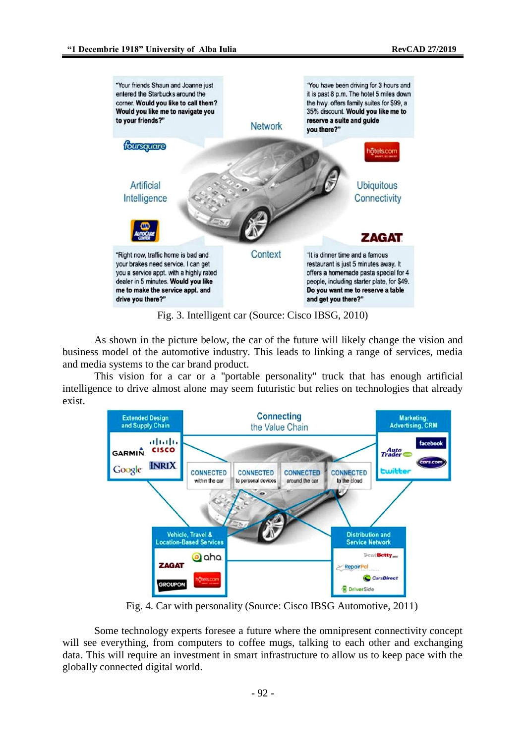

Fig. 3. Intelligent car (Source: Cisco IBSG, 2010)

As shown in the picture below, the car of the future will likely change the vision and business model of the automotive industry. This leads to linking a range of services, media and media systems to the car brand product.

This vision for a car or a "portable personality" truck that has enough artificial intelligence to drive almost alone may seem futuristic but relies on technologies that already exist.



Fig. 4. Car with personality (Source: Cisco IBSG Automotive, 2011)

Some technology experts foresee a future where the omnipresent connectivity concept will see everything, from computers to coffee mugs, talking to each other and exchanging data. This will require an investment in smart infrastructure to allow us to keep pace with the globally connected digital world.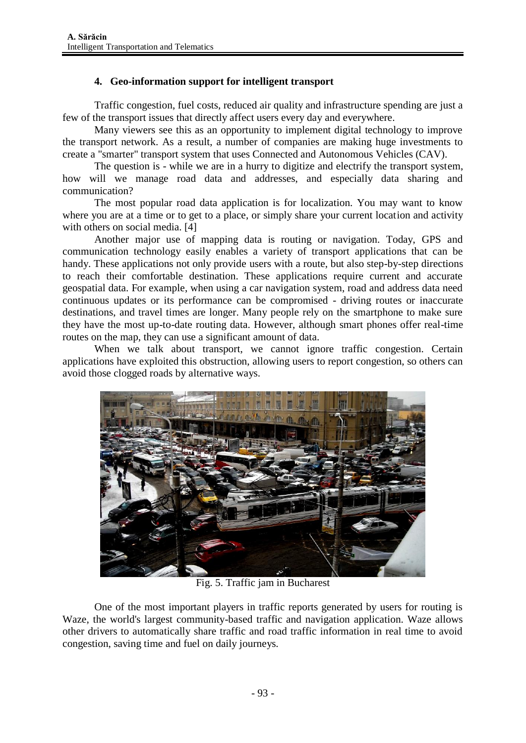## **4. Geo-information support for intelligent transport**

Traffic congestion, fuel costs, reduced air quality and infrastructure spending are just a few of the transport issues that directly affect users every day and everywhere.

Many viewers see this as an opportunity to implement digital technology to improve the transport network. As a result, a number of companies are making huge investments to create a "smarter" transport system that uses Connected and Autonomous Vehicles (CAV).

The question is - while we are in a hurry to digitize and electrify the transport system, how will we manage road data and addresses, and especially data sharing and communication?

The most popular road data application is for localization. You may want to know where you are at a time or to get to a place, or simply share your current location and activity with others on social media. [4]

Another major use of mapping data is routing or navigation. Today, GPS and communication technology easily enables a variety of transport applications that can be handy. These applications not only provide users with a route, but also step-by-step directions to reach their comfortable destination. These applications require current and accurate geospatial data. For example, when using a car navigation system, road and address data need continuous updates or its performance can be compromised - driving routes or inaccurate destinations, and travel times are longer. Many people rely on the smartphone to make sure they have the most up-to-date routing data. However, although smart phones offer real-time routes on the map, they can use a significant amount of data.

When we talk about transport, we cannot ignore traffic congestion. Certain applications have exploited this obstruction, allowing users to report congestion, so others can avoid those clogged roads by alternative ways.



Fig. 5. Traffic jam in Bucharest

One of the most important players in traffic reports generated by users for routing is Waze, the world's largest community-based traffic and navigation application. Waze allows other drivers to automatically share traffic and road traffic information in real time to avoid congestion, saving time and fuel on daily journeys.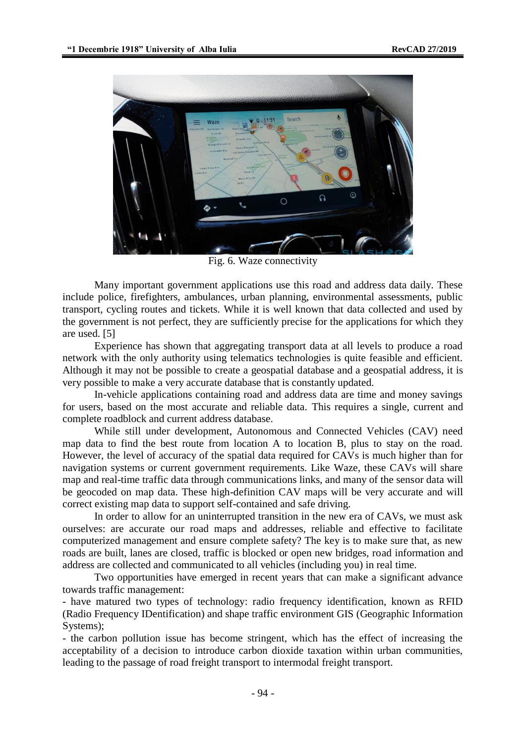

Fig. 6. Waze connectivity

Many important government applications use this road and address data daily. These include police, firefighters, ambulances, urban planning, environmental assessments, public transport, cycling routes and tickets. While it is well known that data collected and used by the government is not perfect, they are sufficiently precise for the applications for which they are used. [5]

Experience has shown that aggregating transport data at all levels to produce a road network with the only authority using telematics technologies is quite feasible and efficient. Although it may not be possible to create a geospatial database and a geospatial address, it is very possible to make a very accurate database that is constantly updated.

In-vehicle applications containing road and address data are time and money savings for users, based on the most accurate and reliable data. This requires a single, current and complete roadblock and current address database.

While still under development, Autonomous and Connected Vehicles (CAV) need map data to find the best route from location A to location B, plus to stay on the road. However, the level of accuracy of the spatial data required for CAVs is much higher than for navigation systems or current government requirements. Like Waze, these CAVs will share map and real-time traffic data through communications links, and many of the sensor data will be geocoded on map data. These high-definition CAV maps will be very accurate and will correct existing map data to support self-contained and safe driving.

In order to allow for an uninterrupted transition in the new era of CAVs, we must ask ourselves: are accurate our road maps and addresses, reliable and effective to facilitate computerized management and ensure complete safety? The key is to make sure that, as new roads are built, lanes are closed, traffic is blocked or open new bridges, road information and address are collected and communicated to all vehicles (including you) in real time.

Two opportunities have emerged in recent years that can make a significant advance towards traffic management:

- have matured two types of technology: radio frequency identification, known as RFID (Radio Frequency IDentification) and shape traffic environment GIS (Geographic Information Systems);

- the carbon pollution issue has become stringent, which has the effect of increasing the acceptability of a decision to introduce carbon dioxide taxation within urban communities, leading to the passage of road freight transport to intermodal freight transport.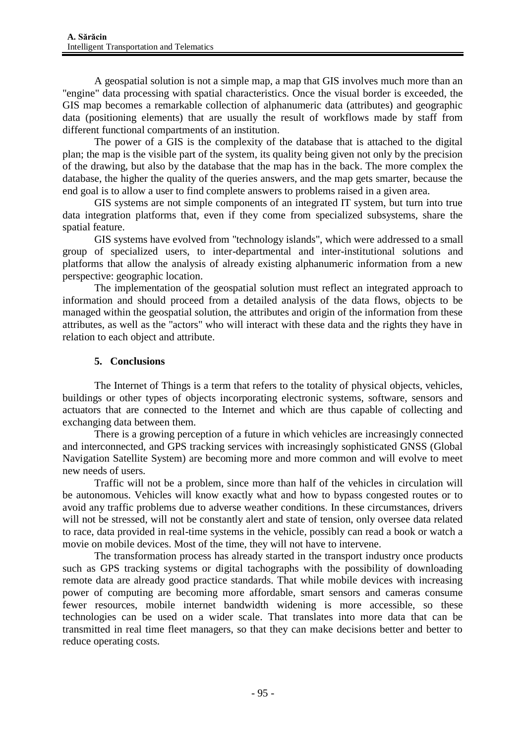A geospatial solution is not a simple map, a map that GIS involves much more than an "engine" data processing with spatial characteristics. Once the visual border is exceeded, the GIS map becomes a remarkable collection of alphanumeric data (attributes) and geographic data (positioning elements) that are usually the result of workflows made by staff from different functional compartments of an institution.

The power of a GIS is the complexity of the database that is attached to the digital plan; the map is the visible part of the system, its quality being given not only by the precision of the drawing, but also by the database that the map has in the back. The more complex the database, the higher the quality of the queries answers, and the map gets smarter, because the end goal is to allow a user to find complete answers to problems raised in a given area.

GIS systems are not simple components of an integrated IT system, but turn into true data integration platforms that, even if they come from specialized subsystems, share the spatial feature.

GIS systems have evolved from "technology islands", which were addressed to a small group of specialized users, to inter-departmental and inter-institutional solutions and platforms that allow the analysis of already existing alphanumeric information from a new perspective: geographic location.

The implementation of the geospatial solution must reflect an integrated approach to information and should proceed from a detailed analysis of the data flows, objects to be managed within the geospatial solution, the attributes and origin of the information from these attributes, as well as the "actors" who will interact with these data and the rights they have in relation to each object and attribute.

## **5. Conclusions**

The Internet of Things is a term that refers to the totality of physical objects, vehicles, buildings or other types of objects incorporating electronic systems, software, sensors and actuators that are connected to the Internet and which are thus capable of collecting and exchanging data between them.

There is a growing perception of a future in which vehicles are increasingly connected and interconnected, and GPS tracking services with increasingly sophisticated GNSS (Global Navigation Satellite System) are becoming more and more common and will evolve to meet new needs of users.

Traffic will not be a problem, since more than half of the vehicles in circulation will be autonomous. Vehicles will know exactly what and how to bypass congested routes or to avoid any traffic problems due to adverse weather conditions. In these circumstances, drivers will not be stressed, will not be constantly alert and state of tension, only oversee data related to race, data provided in real-time systems in the vehicle, possibly can read a book or watch a movie on mobile devices. Most of the time, they will not have to intervene.

The transformation process has already started in the transport industry once products such as GPS tracking systems or digital tachographs with the possibility of downloading remote data are already good practice standards. That while mobile devices with increasing power of computing are becoming more affordable, smart sensors and cameras consume fewer resources, mobile internet bandwidth widening is more accessible, so these technologies can be used on a wider scale. That translates into more data that can be transmitted in real time fleet managers, so that they can make decisions better and better to reduce operating costs.